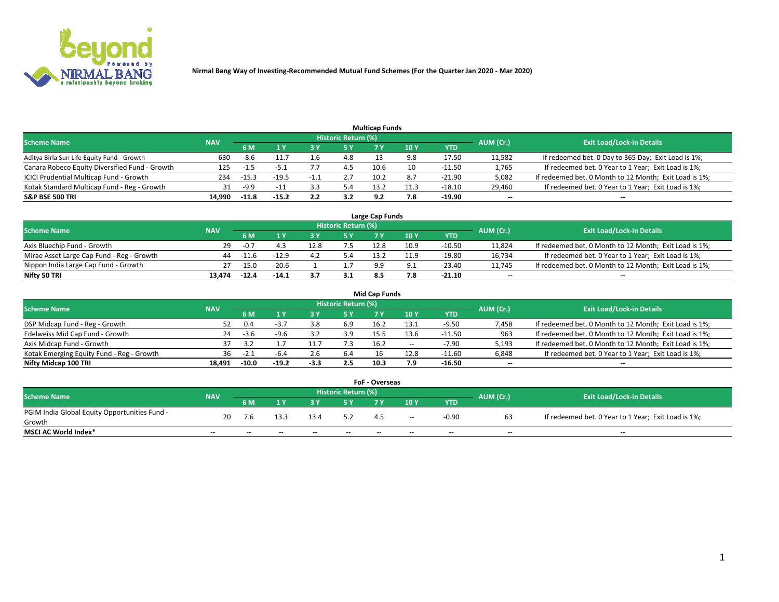

|                                                |            |         |         |      |                     | <b>Multicap Funds</b> |     |          |           |                                                        |
|------------------------------------------------|------------|---------|---------|------|---------------------|-----------------------|-----|----------|-----------|--------------------------------------------------------|
| <b>Scheme Name</b>                             | <b>NAV</b> |         |         |      | Historic Return (%) |                       |     |          | AUM (Cr.) | <b>Exit Load/Lock-in Details</b>                       |
|                                                |            | 6 M     |         |      | 5 Y                 |                       | 10Y | YTD      |           |                                                        |
| Aditya Birla Sun Life Equity Fund - Growth     | 630        | -8.6    |         |      | 4.8                 |                       | 9.8 | $-17.50$ | 11,582    | If redeemed bet. 0 Day to 365 Day; Exit Load is 1%;    |
| Canara Robeco Equity Diversified Fund - Growth | 125        | -1.5    | -5.1    |      | 4.5                 | 10.6                  | 10  | $-11.50$ | 1,765     | If redeemed bet. 0 Year to 1 Year; Exit Load is 1%;    |
| ICICI Prudential Multicap Fund - Growth        | 234        | $-15.3$ | $-19.5$ | $-1$ | 2.7                 | 10.2                  | 8.7 | $-21.90$ | 5,082     | If redeemed bet. 0 Month to 12 Month; Exit Load is 1%; |
| Kotak Standard Multicap Fund - Reg - Growth    | 31         | -9.9    | $-11$   |      | 5.4                 | 13.2                  |     | -18.10   | 29,460    | If redeemed bet. 0 Year to 1 Year; Exit Load is 1%;    |
| <b>S&amp;P BSE 500 TRI</b>                     | 14.990     | $-11.8$ | $-15.2$ |      | 3.2                 | 9 J                   | 7.8 | $-19.90$ | --        | $-$                                                    |

| Large Cap Funds                           |            |         |         |  |                     |      |      |          |           |                                                        |  |  |  |
|-------------------------------------------|------------|---------|---------|--|---------------------|------|------|----------|-----------|--------------------------------------------------------|--|--|--|
| Scheme Name                               | <b>NAV</b> |         |         |  | Historic Return (%) |      |      |          | AUM (Cr.) | <b>Exit Load/Lock-in Details</b>                       |  |  |  |
|                                           |            | 6 M     |         |  | 5 Y                 |      | 10Y  | YTD      |           |                                                        |  |  |  |
| Axis Bluechip Fund - Growth               | 29         |         |         |  |                     | 12.8 | 10.9 | -10.50   | 11,824    | If redeemed bet. 0 Month to 12 Month; Exit Load is 1%; |  |  |  |
| Mirae Asset Large Cap Fund - Reg - Growth | 44         | -11.6   | $-12.9$ |  |                     | 13.2 | 11.9 | -19.80   | 16,734    | If redeemed bet. 0 Year to 1 Year; Exit Load is 1%;    |  |  |  |
| Nippon India Large Cap Fund - Growth      |            | $-15.0$ | $-20.6$ |  |                     | a a  |      | -23.40   | 11,745    | If redeemed bet. 0 Month to 12 Month; Exit Load is 1%; |  |  |  |
| Nifty 50 TRI                              | 13.474     | $-12.4$ | $-14.1$ |  | 3.1                 |      | 7.8  | $-21.10$ | $\sim$    | $-$                                                    |  |  |  |

|                                           |            |         |         |        |                     | <b>Mid Cap Funds</b> |        |            |           |                                                        |
|-------------------------------------------|------------|---------|---------|--------|---------------------|----------------------|--------|------------|-----------|--------------------------------------------------------|
| <b>Scheme Name</b>                        | <b>NAV</b> |         |         |        | Historic Return (%) |                      |        |            | AUM (Cr.) | <b>Exit Load/Lock-in Details</b>                       |
|                                           |            | 6 M     |         |        |                     |                      | 10Y    | <b>YTD</b> |           |                                                        |
| DSP Midcap Fund - Reg - Growth            | 52         | 0.4     |         | 3.8    | 6.9                 | 16.2                 | 13.1   | $-9.50$    | 7,458     | If redeemed bet. 0 Month to 12 Month; Exit Load is 1%; |
| Edelweiss Mid Cap Fund - Growth           | 24         | -3.6    | -9.6    |        | 3.9                 | 15.5                 | 13.6   | -11.50     | 963       | If redeemed bet. 0 Month to 12 Month; Exit Load is 1%; |
| Axis Midcap Fund - Growth                 | 37         |         |         | 11.7   | 7.3                 | 16.2                 | $\sim$ | $-7.90$    | 5,193     | If redeemed bet. 0 Month to 12 Month; Exit Load is 1%; |
| Kotak Emerging Equity Fund - Reg - Growth |            | $-2.1$  | -b.     | 2.b    | 6.4                 |                      | 12.8   | $-11.60$   | 6,848     | If redeemed bet. 0 Year to 1 Year; Exit Load is 1%;    |
| Nifty Midcap 100 TRI                      | 18.491     | $-10.0$ | $-19.2$ | $-3.3$ | $2.5\phantom{0}$    | 10.3                 | 7.9    | $-16.50$   | $\sim$    | $\overline{\phantom{a}}$                               |

| <b>FoF - Overseas</b>                         |            |       |       |                            |                                  |     |       |            |           |                                                     |  |  |  |
|-----------------------------------------------|------------|-------|-------|----------------------------|----------------------------------|-----|-------|------------|-----------|-----------------------------------------------------|--|--|--|
| <b>Scheme Name</b>                            | <b>NAV</b> |       |       | <b>Historic Return (%)</b> | <b>Exit Load/Lock-in Details</b> |     |       |            |           |                                                     |  |  |  |
|                                               |            | 6 M   |       |                            |                                  |     | 10Y   | <b>YTD</b> | AUM (Cr.) |                                                     |  |  |  |
| PGIM India Global Equity Opportunities Fund - | 20         | 7.6   |       | 13.4                       | 5.2                              |     |       | $-0.90$    |           | If redeemed bet. 0 Year to 1 Year; Exit Load is 1%; |  |  |  |
| Growth                                        |            |       |       |                            |                                  |     | $- -$ |            |           |                                                     |  |  |  |
| <b>MSCI AC World Index*</b>                   | $- -$      | $- -$ | $- -$ | $- -$                      | $- -$                            | $-$ | $- -$ | $- -$      | $- -$     | $- -$                                               |  |  |  |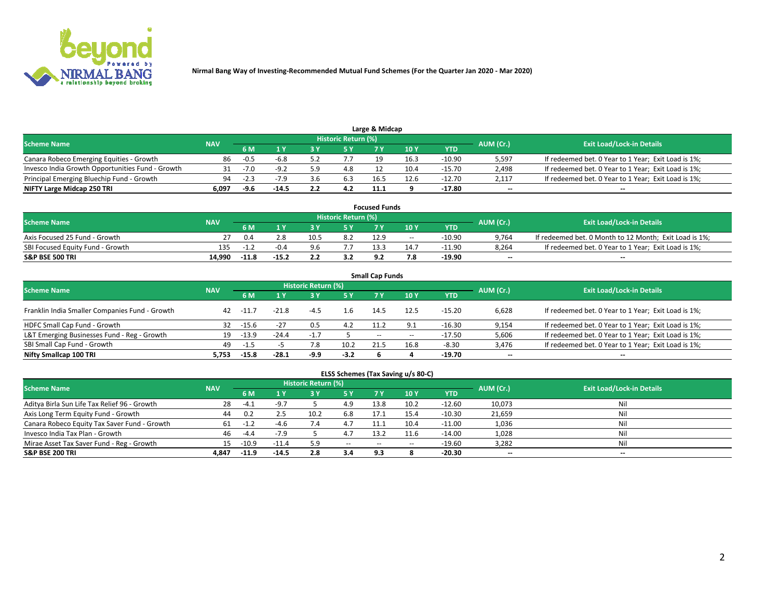

| <b>Scheme Name</b>                               | <b>NAV</b> |        |         |     | Historic Return (%) |      |      |            | AUM (Cr.)                | <b>Exit Load/Lock-in Details</b>                    |
|--------------------------------------------------|------------|--------|---------|-----|---------------------|------|------|------------|--------------------------|-----------------------------------------------------|
|                                                  |            | 5 M    |         |     | 5 Y                 |      | 10Y  | <b>YTD</b> |                          |                                                     |
| Canara Robeco Emerging Equities - Growth         | 86         | $-0.5$ | -6.8    |     |                     |      | 16.3 | -10.90     | 5,597                    | If redeemed bet. 0 Year to 1 Year; Exit Load is 1%; |
| Invesco India Growth Opportunities Fund - Growth |            |        | $-9.2$  |     | 4.8                 |      | 10.4 | -15.70     | 2,498                    | If redeemed bet. 0 Year to 1 Year; Exit Load is 1%; |
| Principal Emerging Bluechip Fund - Growth        | 94         | $-2.3$ |         |     | 6.3                 | 16.5 | 12.6 | $-12.70$   | 2,117                    | If redeemed bet. 0 Year to 1 Year; Exit Load is 1%; |
| NIFTY Large Midcap 250 TRI                       | 6.097      | -9.6   | $-14.5$ | 2.2 | 4.2                 | 11.1 |      | -17.80     | $\overline{\phantom{a}}$ | $- -$                                               |

| <b>Focused Funds</b>             |            |         |         |      |                     |      |       |          |           |                                                        |  |  |  |
|----------------------------------|------------|---------|---------|------|---------------------|------|-------|----------|-----------|--------------------------------------------------------|--|--|--|
| <b>Scheme Name</b>               | <b>NAV</b> |         |         |      | Historic Return (%) |      |       |          |           | <b>Exit Load/Lock-in Details</b>                       |  |  |  |
|                                  |            | 6 M     |         |      |                     |      | 10 Y  | YTD      | AUM (Cr.) |                                                        |  |  |  |
| Axis Focused 25 Fund - Growth    |            | 0.4     | 2.8     | 10.5 | 8.2                 | 12.9 | $- -$ | $-10.90$ | 9,764     | If redeemed bet. 0 Month to 12 Month; Exit Load is 1%; |  |  |  |
| SBI Focused Equity Fund - Growth | 135        | - 11    | -0.4    | 9 R  |                     |      | 14.7  | $-11.90$ | 8.264     | If redeemed bet. 0 Year to 1 Year; Exit Load is 1%;    |  |  |  |
| <b>S&amp;P BSE 500 TRI</b>       | 14.990     | $-11.8$ | $-15.2$ |      |                     | ດ າ  | 7.8   | -19.90   | $\sim$    | $- -$                                                  |  |  |  |

| <b>Small Cap Funds</b>                         |            |         |         |                     |           |       |       |            |                          |                                                     |  |  |  |  |
|------------------------------------------------|------------|---------|---------|---------------------|-----------|-------|-------|------------|--------------------------|-----------------------------------------------------|--|--|--|--|
| <b>Scheme Name</b>                             | <b>NAV</b> |         |         | Historic Return (%) |           |       |       |            |                          | <b>Exit Load/Lock-in Details</b>                    |  |  |  |  |
|                                                |            | 6 M     |         |                     | <b>5Y</b> |       | 10Y   | <b>YTD</b> | AUM (Cr.)                |                                                     |  |  |  |  |
| Franklin India Smaller Companies Fund - Growth | 42         | -11.7   | $-21.8$ | $-4.5$              | 1.6       | 14.5  | 12.5  | $-15.20$   | 6,628                    | If redeemed bet. 0 Year to 1 Year; Exit Load is 1%; |  |  |  |  |
| HDFC Small Cap Fund - Growth                   | 32         | -15.6   | $-27$   | 0.5                 | 4.2       | 11.2  | 9.1   | $-16.30$   | 9,154                    | If redeemed bet. 0 Year to 1 Year; Exit Load is 1%; |  |  |  |  |
| L&T Emerging Businesses Fund - Reg - Growth    | 19         | $-13.9$ | $-24.4$ | -1.,                |           | $- -$ | $- -$ | -17.50     | 5,606                    | If redeemed bet. 0 Year to 1 Year; Exit Load is 1%; |  |  |  |  |
| SBI Small Cap Fund - Growth                    | 49         | $-1.5$  |         |                     | 10.2      | 21.5  | 16.8  | $-8.30$    | 3,476                    | If redeemed bet. 0 Year to 1 Year; Exit Load is 1%; |  |  |  |  |
| Nifty Smallcap 100 TRI                         | 5.753      | $-15.8$ | $-28.1$ | -9.9                | $-3.2$    |       |       | $-19.70$   | $\overline{\phantom{a}}$ | $- -$                                               |  |  |  |  |

## **ELSS Schemes (Tax Saving u/s 80-C)**

| <b>Scheme Name</b>                           | <b>NAV</b> |         |                           | <b>Historic Return (%)</b> |                       |                          |      |          | AUM (Cr.) | <b>Exit Load/Lock-in Details</b> |
|----------------------------------------------|------------|---------|---------------------------|----------------------------|-----------------------|--------------------------|------|----------|-----------|----------------------------------|
|                                              |            | 6 M     | $\mathbf{A}$ $\mathbf{V}$ | 3 Y                        | <b>5Y</b>             | 7 Y                      | 10Y  | YTD      |           |                                  |
| Aditya Birla Sun Life Tax Relief 96 - Growth | 28         | $-4.1$  | $-9.7$                    |                            | 4.9                   | 13.8                     | 10.2 | $-12.60$ | 10,073    | Nil                              |
| Axis Long Term Equity Fund - Growth          | 44         | 0.2     | כ. ב                      | 10.2                       | 6.8                   | 17.1                     | 15.4 | $-10.30$ | 21,659    | Nil                              |
| Canara Robeco Equity Tax Saver Fund - Growth | 61         | - 11    |                           |                            | 4.7                   |                          | 10.4 | $-11.00$ | 1,036     | Nil                              |
| Invesco India Tax Plan - Growth              | 46         | $-4.4$  | $-7.9$                    |                            | $\overline{ }$<br>4.1 | 13.2                     | 11.6 | $-14.00$ | 1,028     | Nil                              |
| Mirae Asset Tax Saver Fund - Reg - Growth    | 15         | $-10.9$ | $-11.4$                   |                            | $\sim$ $\sim$         | $\overline{\phantom{a}}$ | --   | $-19.60$ | 3,282     | Nil                              |
| <b>S&amp;P BSE 200 TRI</b>                   | 4.847      | $-11.9$ | $-14.5$                   | 2.8                        | 3.4                   | 9.3                      |      | -20.30   | $\sim$    | $- -$                            |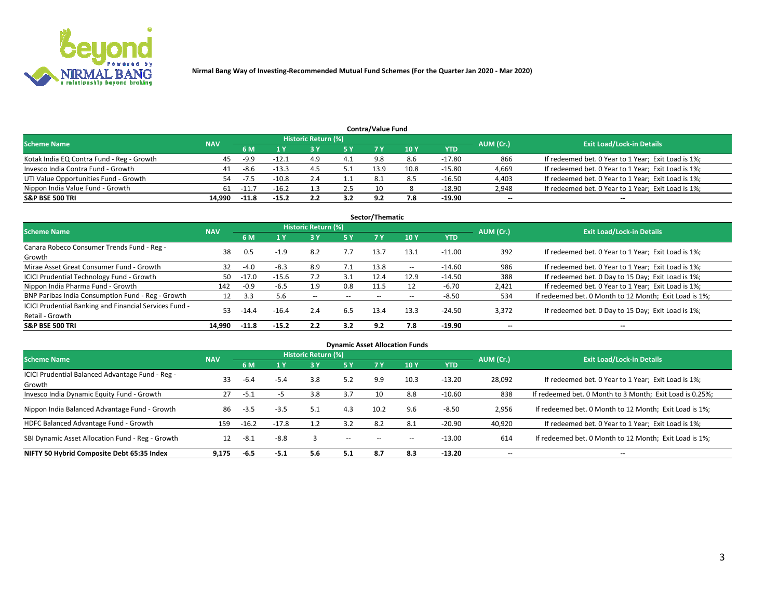

|                                           |            |         |         |                     |     | <b>Contra/Value Fund</b> |      |          |           |                                                     |
|-------------------------------------------|------------|---------|---------|---------------------|-----|--------------------------|------|----------|-----------|-----------------------------------------------------|
| <b>Scheme Name</b>                        | <b>NAV</b> |         |         | Historic Return (%) |     |                          |      |          | AUM (Cr.) | <b>Exit Load/Lock-in Details</b>                    |
|                                           |            | 6 M     |         |                     | 5 Y | 7 V                      | 10Y  | YTD      |           |                                                     |
| Kotak India EQ Contra Fund - Reg - Growth | 45         | -9.9    | $-12.1$ | 4.9                 | 4.1 | 9.8                      | 8.6  | $-17.80$ | 866       | If redeemed bet. 0 Year to 1 Year; Exit Load is 1%; |
| Invesco India Contra Fund - Growth        | 41         | -8.6    | $-13.3$ | -4.                 |     | 13.9                     | 10.8 | $-15.80$ | 4,669     | If redeemed bet. 0 Year to 1 Year; Exit Load is 1%; |
| UTI Value Opportunities Fund - Growth     | 54         | -7.5    | $-10.8$ | <u>-</u>            |     | 8.1                      |      | -16.50   | 4,403     | If redeemed bet. 0 Year to 1 Year; Exit Load is 1%; |
| Nippon India Value Fund - Growth          | 61         | $-11.7$ | $-16.2$ |                     | 2.5 | 10                       |      | -18.90   | 2,948     | If redeemed bet. 0 Year to 1 Year; Exit Load is 1%; |
| <b>S&amp;P BSE 500 TRI</b>                | 14.990     | $-11.8$ | $-15.2$ |                     | 3.2 | -9.2                     | 7.8  | -19.90   | $\sim$    | $- -$                                               |

| Sector/Thematic                                                           |            |         |         |                     |       |       |                          |            |                          |                                                        |  |  |  |
|---------------------------------------------------------------------------|------------|---------|---------|---------------------|-------|-------|--------------------------|------------|--------------------------|--------------------------------------------------------|--|--|--|
| <b>Scheme Name</b>                                                        | <b>NAV</b> |         |         | Historic Return (%) |       |       |                          |            | AUM (Cr.)                | <b>Exit Load/Lock-in Details</b>                       |  |  |  |
|                                                                           |            | 6 M     | 1 Y     | 73 Y                | 15 Y  | 7 Y   | 10Y                      | <b>YTD</b> |                          |                                                        |  |  |  |
| Canara Robeco Consumer Trends Fund - Reg -<br>Growth                      | 38         | 0.5     | $-1.9$  | 8.2                 | 7.7   | 13.7  | 13.1                     | $-11.00$   | 392                      | If redeemed bet. 0 Year to 1 Year; Exit Load is 1%;    |  |  |  |
| Mirae Asset Great Consumer Fund - Growth                                  | 32         | $-4.0$  | $-8.3$  | 8.9                 |       | 13.8  | $\overline{\phantom{a}}$ | $-14.60$   | 986                      | If redeemed bet. 0 Year to 1 Year; Exit Load is 1%;    |  |  |  |
| ICICI Prudential Technology Fund - Growth                                 | 50         | $-17.0$ | $-15.6$ |                     | 3.1   | 12.4  | 12.9                     | $-14.50$   | 388                      | If redeemed bet. 0 Day to 15 Day; Exit Load is 1%;     |  |  |  |
| Nippon India Pharma Fund - Growth                                         | 142        | $-0.9$  | $-6.5$  | 1.9                 | 0.8   | 11.5  |                          | $-6.70$    | 2,421                    | If redeemed bet. 0 Year to 1 Year; Exit Load is 1%;    |  |  |  |
| BNP Paribas India Consumption Fund - Reg - Growth                         | 12         | 3.3     | 5.6     | $- -$               | $- -$ | $- -$ | $- -$                    | $-8.50$    | 534                      | If redeemed bet. 0 Month to 12 Month; Exit Load is 1%; |  |  |  |
| ICICI Prudential Banking and Financial Services Fund -<br>Retail - Growth | 53         | $-14.4$ | $-16.4$ | 2.4                 | 6.5   | 13.4  | 13.3                     | $-24.50$   | 3,372                    | If redeemed bet. 0 Day to 15 Day; Exit Load is 1%;     |  |  |  |
| <b>S&amp;P BSE 500 TRI</b>                                                | 14.990     | $-11.8$ | $-15.2$ | 2.2                 | 3.2   | 9.2   | 7.8                      | -19.90     | $\overline{\phantom{a}}$ | $\overline{\phantom{a}}$                               |  |  |  |

| <b>Dynamic Asset Allocation Funds</b>                      |            |         |         |                     |       |       |                 |            |                          |                                                          |  |  |  |
|------------------------------------------------------------|------------|---------|---------|---------------------|-------|-------|-----------------|------------|--------------------------|----------------------------------------------------------|--|--|--|
| <b>Scheme Name</b>                                         | <b>NAV</b> |         |         | Historic Return (%) |       |       |                 |            | AUM (Cr.)                | <b>Exit Load/Lock-in Details</b>                         |  |  |  |
|                                                            |            | 6 M     |         | 3 Y                 | 5 Y   |       | 10 <sub>1</sub> | <b>YTD</b> |                          |                                                          |  |  |  |
| ICICI Prudential Balanced Advantage Fund - Reg -<br>Growth | 33         | $-6.4$  | $-5.4$  | 3.8                 | 5.2   | 9.9   | 10.3            | $-13.20$   | 28,092                   | If redeemed bet. 0 Year to 1 Year; Exit Load is 1%;      |  |  |  |
| Invesco India Dynamic Equity Fund - Growth                 | 27         | $-5.1$  | כ-      | 3.8                 | 3.7   | 10    | 8.8             | $-10.60$   | 838                      | If redeemed bet. 0 Month to 3 Month; Exit Load is 0.25%; |  |  |  |
| Nippon India Balanced Advantage Fund - Growth              | 86         | $-3.5$  | $-3.5$  | 5.1                 | 4.3   | 10.2  | 9.6             | $-8.50$    | 2,956                    | If redeemed bet. 0 Month to 12 Month; Exit Load is 1%;   |  |  |  |
| HDFC Balanced Advantage Fund - Growth                      | 159        | $-16.2$ | $-17.8$ | 1.2                 | 3.2   | 8.2   | 8.1             | $-20.90$   | 40,920                   | If redeemed bet. 0 Year to 1 Year; Exit Load is 1%;      |  |  |  |
| SBI Dynamic Asset Allocation Fund - Reg - Growth           | 12         | $-8.1$  | $-8.8$  | 3                   | $- -$ | $- -$ | --              | $-13.00$   | 614                      | If redeemed bet. 0 Month to 12 Month; Exit Load is 1%;   |  |  |  |
| NIFTY 50 Hybrid Composite Debt 65:35 Index                 | 9,175      | $-6.5$  | $-5.1$  | 5.6                 | 5.1   | 8.7   | 8.3             | $-13.20$   | $\overline{\phantom{a}}$ | --                                                       |  |  |  |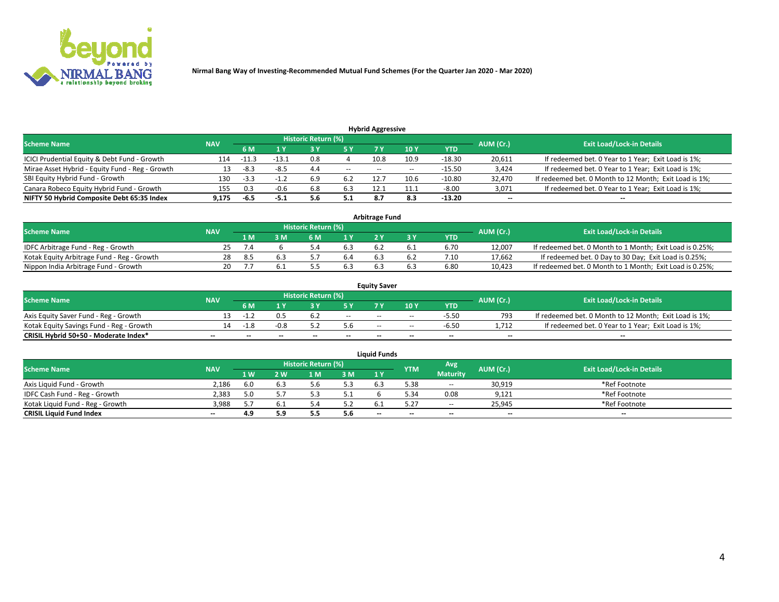

**Nirmal Bang Way of Investing-Recommended Mutual Fund Schemes (For the Quarter Jan 2020 - Mar 2020)**

| <b>Hybrid Aggressive</b>                        |            |        |        |                            |        |                          |       |          |                          |                                                        |  |  |  |  |
|-------------------------------------------------|------------|--------|--------|----------------------------|--------|--------------------------|-------|----------|--------------------------|--------------------------------------------------------|--|--|--|--|
| <b>Scheme Name</b>                              | <b>NAV</b> |        |        | <b>Historic Return (%)</b> |        |                          |       |          | AUM (Cr.)                | <b>Exit Load/Lock-in Details</b>                       |  |  |  |  |
|                                                 |            | 6 M    |        |                            |        |                          | 10Y   | YTD      |                          |                                                        |  |  |  |  |
| ICICI Prudential Equity & Debt Fund - Growth    | 114        | -11.3  | -13.1  | 0.8                        |        | 10.8                     | 10.9  | $-18.30$ | 20,611                   | If redeemed bet. 0 Year to 1 Year; Exit Load is 1%;    |  |  |  |  |
| Mirae Asset Hybrid - Equity Fund - Reg - Growth | 13         | -8.3   | $-8.5$ | 4.4                        | $\sim$ | $\overline{\phantom{a}}$ | $- -$ | -15.50   | 3,424                    | If redeemed bet. 0 Year to 1 Year; Exit Load is 1%;    |  |  |  |  |
| SBI Equity Hybrid Fund - Growth                 | 130        | $-3.3$ |        | 6.9                        | 6.2    | 12.7                     | 10.6  | -10.80   | 32,470                   | If redeemed bet. 0 Month to 12 Month; Exit Load is 1%; |  |  |  |  |
| Canara Robeco Equity Hybrid Fund - Growth       | 155        | 0.3    | -0.6   | 6.8                        | 6.3    | 12.1                     | 11.1  | $-8.00$  | 3,071                    | If redeemed bet. 0 Year to 1 Year; Exit Load is 1%;    |  |  |  |  |
| NIFTY 50 Hybrid Composite Debt 65:35 Index      | 9.175      | -6.5   | -5.1   | 5.6                        | 5.1    |                          | 8.3   | $-13.20$ | $\overline{\phantom{a}}$ | $- -$                                                  |  |  |  |  |

|                                            |            |           |                                  |                | <b>Arbitrage Fund</b> |     |            |        |                                                          |
|--------------------------------------------|------------|-----------|----------------------------------|----------------|-----------------------|-----|------------|--------|----------------------------------------------------------|
| <b>Scheme Name</b>                         | <b>NAV</b> | AUM (Cr.) | <b>Exit Load/Lock-in Details</b> |                |                       |     |            |        |                                                          |
|                                            |            | l M       | <b>M</b>                         | 1 <sub>V</sub> |                       |     | <b>YTD</b> |        |                                                          |
| IDFC Arbitrage Fund - Reg - Growth         | 25         |           |                                  |                |                       |     | 6.70       | 12,007 | If redeemed bet. 0 Month to 1 Month; Exit Load is 0.25%; |
| Kotak Equity Arbitrage Fund - Reg - Growth | 28         | -8.5      |                                  |                |                       | b.Z | 7.10       | 17,662 | If redeemed bet. 0 Day to 30 Day; Exit Load is 0.25%;    |
| Nippon India Arbitrage Fund - Growth       | 20         |           |                                  |                |                       |     | 6.80       | 10.423 | If redeemed bet. 0 Month to 1 Month; Exit Load is 0.25%; |

|                                          |            |           |                                  |                          |                          | <b>Equity Saver</b> |               |            |                          |                                                        |
|------------------------------------------|------------|-----------|----------------------------------|--------------------------|--------------------------|---------------------|---------------|------------|--------------------------|--------------------------------------------------------|
| Scheme Name                              | <b>NAV</b> | AUM (Cr.) | <b>Exit Load/Lock-in Details</b> |                          |                          |                     |               |            |                          |                                                        |
|                                          |            | 6 M       |                                  |                          | 5 Y                      |                     | $\sqrt{10}$ Y | <b>YTD</b> |                          |                                                        |
| Axis Equity Saver Fund - Reg - Growth    |            | $-1$      |                                  | 6.2                      | $\sim$                   | $-$                 | $- -$         | $-5.50$    | 793                      | If redeemed bet. 0 Month to 12 Month; Exit Load is 1%; |
| Kotak Equity Savings Fund - Reg - Growth |            | $-1.8$    | -0.8                             |                          | 5.6                      | $- -$               | $- -$         | $-6.50$    | 1.712                    | If redeemed bet. 0 Year to 1 Year; Exit Load is 1%;    |
| CRISIL Hybrid 50+50 - Moderate Index*    |            | $- -$     | $-$                              | $\overline{\phantom{a}}$ | $\overline{\phantom{a}}$ | $\sim$              | --            | $\sim$     | $\overline{\phantom{a}}$ | $- -$                                                  |

| <b>Liquid Funds</b>              |            |      |     |                            |     |                          |            |                 |           |                                  |  |  |  |  |
|----------------------------------|------------|------|-----|----------------------------|-----|--------------------------|------------|-----------------|-----------|----------------------------------|--|--|--|--|
| Scheme Name                      | <b>NAV</b> |      |     | <b>Historic Return (%)</b> |     |                          | <b>YTM</b> | Avg             | AUM (Cr.) | <b>Exit Load/Lock-in Details</b> |  |  |  |  |
|                                  |            | 1 W. | 2 W | 1 M                        | 3M  | 1 Y                      |            | <b>Maturity</b> |           |                                  |  |  |  |  |
| Axis Liquid Fund - Growth        | 2,186      | 6.0  |     |                            | 5.3 |                          | 5.38       | $\sim$          | 30,919    | *Ref Footnote                    |  |  |  |  |
| IDFC Cash Fund - Reg - Growth    | 2.383      |      |     |                            | 5.1 |                          | 5.34       | 0.08            | 9,121     | *Ref Footnote                    |  |  |  |  |
| Kotak Liquid Fund - Reg - Growth | 3,988      |      |     |                            | 5.2 |                          |            | $ -$            | 25,945    | *Ref Footnote                    |  |  |  |  |
| <b>CRISIL Liquid Fund Index</b>  | $\sim$     | 4.9  | 5.9 |                            | 5.6 | $\overline{\phantom{a}}$ | $-$        | $\sim$          | $\sim$    | $\sim$                           |  |  |  |  |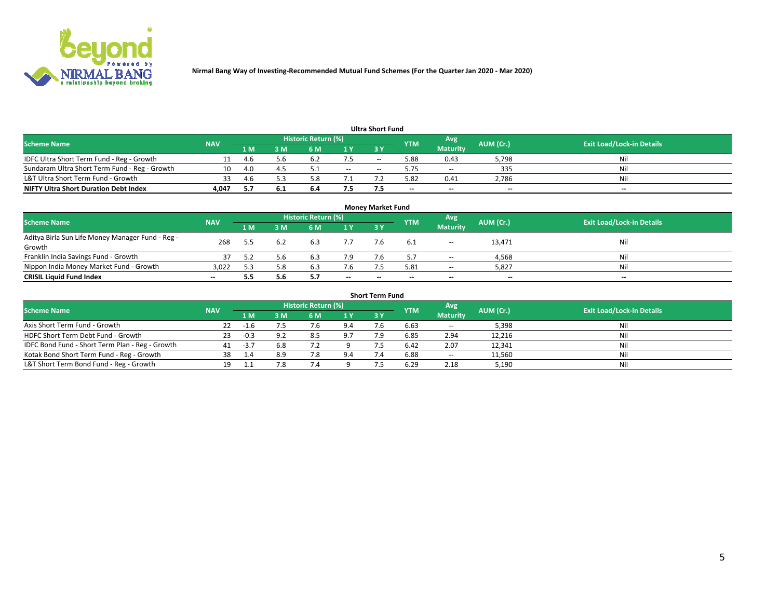

**Nirmal Bang Way of Investing-Recommended Mutual Fund Schemes (For the Quarter Jan 2020 - Mar 2020)**

| <b>Ultra Short Fund</b>                       |            |      |      |                     |       |       |            |                 |           |                                  |  |  |  |  |
|-----------------------------------------------|------------|------|------|---------------------|-------|-------|------------|-----------------|-----------|----------------------------------|--|--|--|--|
| <b>Scheme Name</b>                            | <b>NAV</b> |      |      | Historic Return (%) |       |       | <b>YTM</b> | Avg             | AUM (Cr.) | <b>Exit Load/Lock-in Details</b> |  |  |  |  |
|                                               |            | 1 M  | 3 M  | 6 M                 | 1 Y   | 3 Y   |            | <b>Maturity</b> |           |                                  |  |  |  |  |
| IDFC Ultra Short Term Fund - Reg - Growth     |            | -4.6 | 5.6  | 6.2                 | 7.5   | $- -$ | 5.88       | 0.43            | 5,798     | Nil                              |  |  |  |  |
| Sundaram Ultra Short Term Fund - Reg - Growth | 10         | 4.0  |      |                     | $- -$ | --    | 5.75       | $- -$           | 335       | Nil                              |  |  |  |  |
| L&T Ultra Short Term Fund - Growth            |            | -4.6 |      |                     |       |       | 5.82       | 0.41            | 2,786     | Nil                              |  |  |  |  |
| <b>NIFTY Ultra Short Duration Debt Index</b>  | 4.047      |      | -6.1 | 6.4                 | 7.5   |       | $\sim$     | $\sim$          | $\sim$    | $- -$                            |  |  |  |  |

| <b>Money Market Fund</b>                         |            |     |     |                     |        |    |                          |                 |           |                                  |  |  |  |
|--------------------------------------------------|------------|-----|-----|---------------------|--------|----|--------------------------|-----------------|-----------|----------------------------------|--|--|--|
| <b>Scheme Name</b>                               | <b>NAV</b> |     |     | Historic Return (%) |        |    | <b>YTM</b>               | 'Avg            | AUM (Cr.) | <b>Exit Load/Lock-in Details</b> |  |  |  |
|                                                  |            | 1 M | 3 M | 6 M                 | 1 Y    | 3Y |                          | <b>Maturity</b> |           |                                  |  |  |  |
| Aditya Birla Sun Life Money Manager Fund - Reg - | 268        |     |     | 6.3                 |        |    |                          | $\sim$          | 13,471    | Nil                              |  |  |  |
| Growth                                           |            |     |     |                     |        |    |                          |                 |           |                                  |  |  |  |
| Franklin India Savings Fund - Growth             |            |     | 5.b | 6.3                 | 7.9    |    |                          | $\sim$          | 4,568     | Nil                              |  |  |  |
| Nippon India Money Market Fund - Growth          | 3,022      |     | 5.8 | 6.3                 | 7.6    |    | 5.81                     | $-$             | 5,827     | Nil                              |  |  |  |
| <b>CRISIL Liquid Fund Index</b>                  | $- -$      |     | 5.6 |                     | $\sim$ | -- | $\overline{\phantom{a}}$ | $\sim$          | $\sim$    | $\sim$                           |  |  |  |

| <b>Short Term Fund</b>                          |            |        |     |                     |     |           |            |                 |           |                                  |  |  |  |  |
|-------------------------------------------------|------------|--------|-----|---------------------|-----|-----------|------------|-----------------|-----------|----------------------------------|--|--|--|--|
| <b>Scheme Name</b>                              | <b>NAV</b> |        |     | Historic Return (%) |     |           | <b>YTM</b> | Avg             | AUM (Cr.) | <b>Exit Load/Lock-in Details</b> |  |  |  |  |
|                                                 |            | 1 M    | 3 M | 6 M                 | 1Y  | <b>3Y</b> |            | <b>Maturity</b> |           |                                  |  |  |  |  |
| Axis Short Term Fund - Growth                   | 22.        | $-1.6$ |     |                     | 9.4 |           | 6.63       | $-$             | 5,398     | Nil                              |  |  |  |  |
| HDFC Short Term Debt Fund - Growth              | 23         | $-0.3$ | 9.2 | 8.5                 | 9.7 |           | 6.85       | 2.94            | 12,216    | Nil                              |  |  |  |  |
| IDFC Bond Fund - Short Term Plan - Reg - Growth | 41         | $-3.7$ | 6.8 |                     |     |           | 6.42       | 2.07            | 12,341    | Nil                              |  |  |  |  |
| Kotak Bond Short Term Fund - Reg - Growth       | 38         |        | 8.9 |                     | 9.4 |           | 6.88       | $\sim$          | 11,560    | Nil                              |  |  |  |  |
| L&T Short Term Bond Fund - Reg - Growth         |            |        | 7.8 |                     |     |           | 6.29       | 2.18            | 5,190     | Nil                              |  |  |  |  |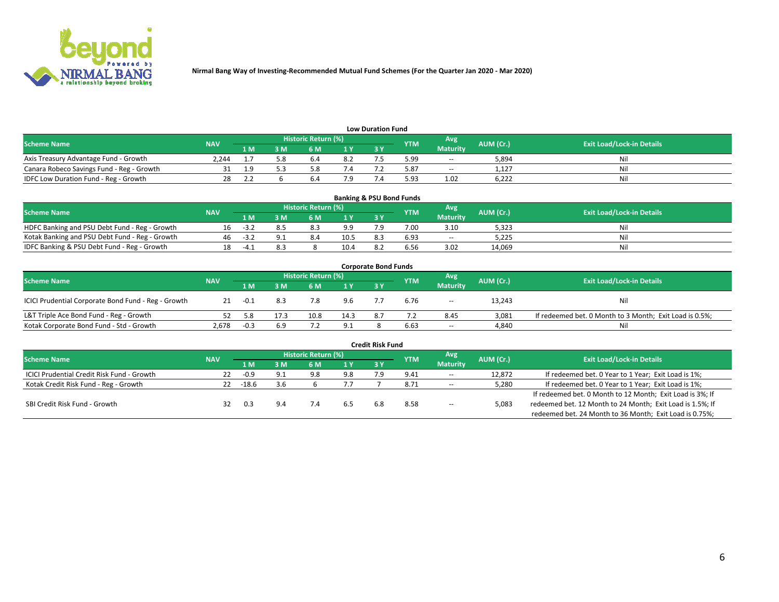

| <b>Low Duration Fund</b>                  |            |     |     |                            |     |  |            |                 |           |                                  |  |  |  |
|-------------------------------------------|------------|-----|-----|----------------------------|-----|--|------------|-----------------|-----------|----------------------------------|--|--|--|
| <b>Scheme Name</b>                        | <b>NAV</b> |     |     | <b>Historic Return (%)</b> |     |  | <b>YTM</b> | Avg             | AUM (Cr.) | <b>Exit Load/Lock-in Details</b> |  |  |  |
|                                           |            | 1 M | ያ M | 5 M                        | 1 V |  |            | <b>Maturity</b> |           |                                  |  |  |  |
| Axis Treasury Advantage Fund - Growth     | 2.244      |     | 5.8 | b.4                        | 8.2 |  | 5.99       | $- -$           | 5,894     | Nil                              |  |  |  |
| Canara Robeco Savings Fund - Reg - Growth |            |     |     |                            |     |  | 5.87       | $-$             | 1,127     | Nil                              |  |  |  |
| IDFC Low Duration Fund - Reg - Growth     |            |     |     | b.4                        |     |  | 5.93       | 1.02            | 6,222     | Nil                              |  |  |  |

| <b>Banking &amp; PSU Bond Funds</b>            |            |      |    |                            |      |     |            |                 |           |                                  |  |  |  |
|------------------------------------------------|------------|------|----|----------------------------|------|-----|------------|-----------------|-----------|----------------------------------|--|--|--|
| <b>Scheme Name</b>                             | <b>NAV</b> |      |    | <b>Historic Return (%)</b> |      |     | <b>YTM</b> | Avg             | AUM (Cr.) | <b>Exit Load/Lock-in Details</b> |  |  |  |
|                                                |            | 1 M  | sм | 6 M                        | 71 Y | 3Y  |            | <b>Maturity</b> |           |                                  |  |  |  |
| HDFC Banking and PSU Debt Fund - Reg - Growth  | Ίh         | - 37 |    | 8.3                        | 9.9  |     | 7.00       | 3.10            | 5,323     | Ni                               |  |  |  |
| Kotak Banking and PSU Debt Fund - Reg - Growth | 46         | -37  |    | 8.4                        | 10.5 | 8.3 | 6.93       | $\sim$ $\sim$   | 5.225     | Ni                               |  |  |  |
| IDFC Banking & PSU Debt Fund - Reg - Growth    |            |      |    |                            | 10.4 |     | 6.56       | 3.02            | 14.069    | Ni                               |  |  |  |

| <b>Corporate Bond Funds</b>                         |            |        |                                                       |      |      |                                  |      |                 |        |                                                         |  |  |  |  |
|-----------------------------------------------------|------------|--------|-------------------------------------------------------|------|------|----------------------------------|------|-----------------|--------|---------------------------------------------------------|--|--|--|--|
| <b>Scheme Name</b>                                  | <b>NAV</b> |        | Historic Return (%)<br>Avg<br>AUM (Cr.)<br><b>YTM</b> |      |      | <b>Exit Load/Lock-in Details</b> |      |                 |        |                                                         |  |  |  |  |
|                                                     |            | 1 M    | : M                                                   | 6 M  | 1Y   | 3V                               |      | <b>Maturity</b> |        |                                                         |  |  |  |  |
| ICICI Prudential Corporate Bond Fund - Reg - Growth | 21         | -0.1   | 8.3                                                   |      | 9.6  |                                  | 6.76 | $\sim$          | 13,243 | Nil                                                     |  |  |  |  |
| L&T Triple Ace Bond Fund - Reg - Growth             |            |        |                                                       | 10.8 | 14.3 |                                  |      | 8.45            | 3,081  | If redeemed bet. 0 Month to 3 Month; Exit Load is 0.5%; |  |  |  |  |
| Kotak Corporate Bond Fund - Std - Growth            | 2,678      | $-0.3$ | 6.9                                                   | ے ،  | 9.1  |                                  | 6.63 | $\sim$ $\sim$   | 4,840  | Nil                                                     |  |  |  |  |

|                                            |            |         |     |                     |      | <b>Credit Risk Fund</b> |            |                 |           |                                                           |
|--------------------------------------------|------------|---------|-----|---------------------|------|-------------------------|------------|-----------------|-----------|-----------------------------------------------------------|
| <b>Scheme Name</b>                         | <b>NAV</b> |         |     | Historic Return (%) |      |                         | <b>YTM</b> | Avg             | AUM (Cr.) | <b>Exit Load/Lock-in Details</b>                          |
|                                            |            | 1 M     | : M | 6 M                 | '1 Y | 3 Y                     |            | <b>Maturity</b> |           |                                                           |
| ICICI Prudential Credit Risk Fund - Growth | 22         | $-0.9$  | 9.1 | 9.8                 | 9.8  |                         | 9.41       | $\sim$ $\sim$   | 12,872    | If redeemed bet. 0 Year to 1 Year; Exit Load is 1%;       |
| Kotak Credit Risk Fund - Reg - Growth      | 22         | $-18.6$ | 3.6 |                     |      |                         | 8.71       | $\sim$ $\sim$   | 5,280     | If redeemed bet. 0 Year to 1 Year; Exit Load is 1%;       |
|                                            |            |         |     |                     |      |                         |            |                 |           | If redeemed bet. 0 Month to 12 Month; Exit Load is 3%; If |
| SBI Credit Risk Fund - Growth              |            |         |     |                     |      |                         | 8.58       | $- -$           | 5,083     | redeemed bet. 12 Month to 24 Month; Exit Load is 1.5%; If |
|                                            |            |         |     |                     |      |                         |            |                 |           | redeemed bet. 24 Month to 36 Month; Exit Load is 0.75%;   |